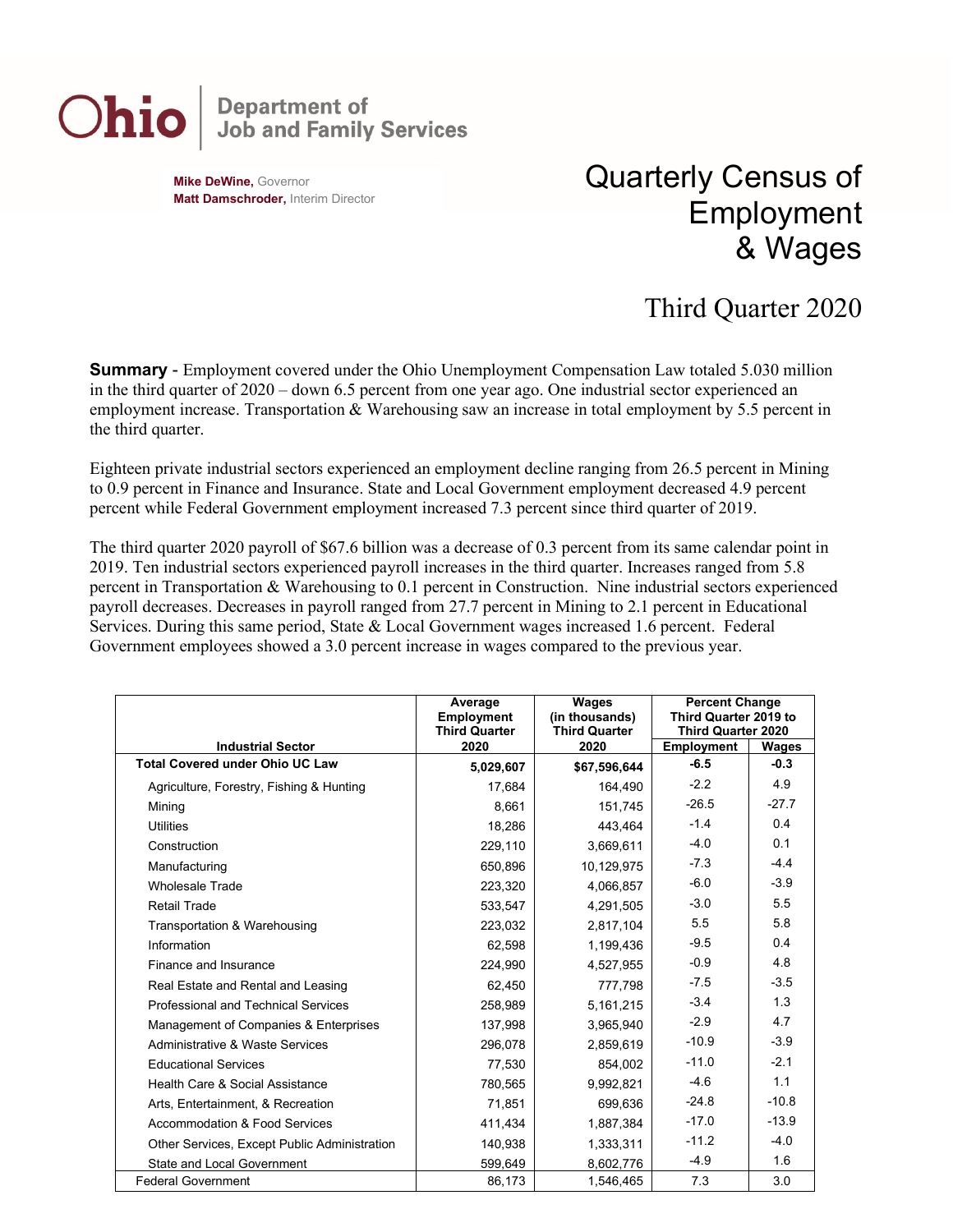## **Department of<br>Job and Family Services** Ohio

**Mike DeWine,** Governor **Matt Damschroder,** Interim Director Quarterly Census of Employment & Wages

## Third Quarter 2020

**Summary** - Employment covered under the Ohio Unemployment Compensation Law totaled 5.030 million in the third quarter of 2020 – down 6.5 percent from one year ago. One industrial sector experienced an employment increase. Transportation & Warehousing saw an increase in total employment by 5.5 percent in the third quarter.

Eighteen private industrial sectors experienced an employment decline ranging from 26.5 percent in Mining to 0.9 percent in Finance and Insurance. State and Local Government employment decreased 4.9 percent percent while Federal Government employment increased 7.3 percent since third quarter of 2019.

The third quarter 2020 payroll of \$67.6 billion was a decrease of 0.3 percent from its same calendar point in 2019. Ten industrial sectors experienced payroll increases in the third quarter. Increases ranged from 5.8 percent in Transportation & Warehousing to 0.1 percent in Construction. Nine industrial sectors experienced payroll decreases. Decreases in payroll ranged from 27.7 percent in Mining to 2.1 percent in Educational Services. During this same period, State & Local Government wages increased 1.6 percent. Federal Government employees showed a 3.0 percent increase in wages compared to the previous year.

|                                              | Average<br><b>Employment</b><br><b>Third Quarter</b> | <b>Wages</b><br>(in thousands)<br><b>Third Quarter</b> | <b>Percent Change</b><br>Third Quarter 2019 to<br><b>Third Quarter 2020</b> |              |
|----------------------------------------------|------------------------------------------------------|--------------------------------------------------------|-----------------------------------------------------------------------------|--------------|
| <b>Industrial Sector</b>                     | 2020                                                 | 2020                                                   | <b>Employment</b>                                                           | <b>Wages</b> |
| <b>Total Covered under Ohio UC Law</b>       | 5,029,607                                            | \$67,596,644                                           | $-6.5$                                                                      | $-0.3$       |
| Agriculture, Forestry, Fishing & Hunting     | 17,684                                               | 164,490                                                | $-2.2$                                                                      | 4.9          |
| Mining                                       | 8,661                                                | 151,745                                                | $-26.5$                                                                     | $-27.7$      |
| <b>Utilities</b>                             | 18.286                                               | 443.464                                                | $-1.4$                                                                      | 0.4          |
| Construction                                 | 229,110                                              | 3,669,611                                              | $-4.0$                                                                      | 0.1          |
| Manufacturing                                | 650,896                                              | 10,129,975                                             | $-7.3$                                                                      | $-4.4$       |
| <b>Wholesale Trade</b>                       | 223,320                                              | 4,066,857                                              | $-6.0$                                                                      | $-3.9$       |
| <b>Retail Trade</b>                          | 533,547                                              | 4,291,505                                              | $-3.0$                                                                      | 5.5          |
| Transportation & Warehousing                 | 223,032                                              | 2,817,104                                              | 5.5                                                                         | 5.8          |
| Information                                  | 62,598                                               | 1,199,436                                              | $-9.5$                                                                      | 0.4          |
| Finance and Insurance                        | 224,990                                              | 4,527,955                                              | $-0.9$                                                                      | 4.8          |
| Real Estate and Rental and Leasing           | 62.450                                               | 777.798                                                | $-7.5$                                                                      | $-3.5$       |
| Professional and Technical Services          | 258.989                                              | 5.161.215                                              | $-3.4$                                                                      | 1.3          |
| Management of Companies & Enterprises        | 137,998                                              | 3,965,940                                              | $-2.9$                                                                      | 4.7          |
| Administrative & Waste Services              | 296,078                                              | 2,859,619                                              | $-10.9$                                                                     | $-3.9$       |
| <b>Educational Services</b>                  | 77,530                                               | 854,002                                                | $-11.0$                                                                     | $-2.1$       |
| Health Care & Social Assistance              | 780,565                                              | 9,992,821                                              | $-4.6$                                                                      | 1.1          |
| Arts. Entertainment. & Recreation            | 71,851                                               | 699.636                                                | $-24.8$                                                                     | $-10.8$      |
| Accommodation & Food Services                | 411,434                                              | 1,887,384                                              | $-17.0$                                                                     | $-13.9$      |
| Other Services, Except Public Administration | 140,938                                              | 1,333,311                                              | $-11.2$                                                                     | $-4.0$       |
| <b>State and Local Government</b>            | 599.649                                              | 8,602,776                                              | $-4.9$                                                                      | 1.6          |
| <b>Federal Government</b>                    | 86,173                                               | 1,546,465                                              | 7.3                                                                         | 3.0          |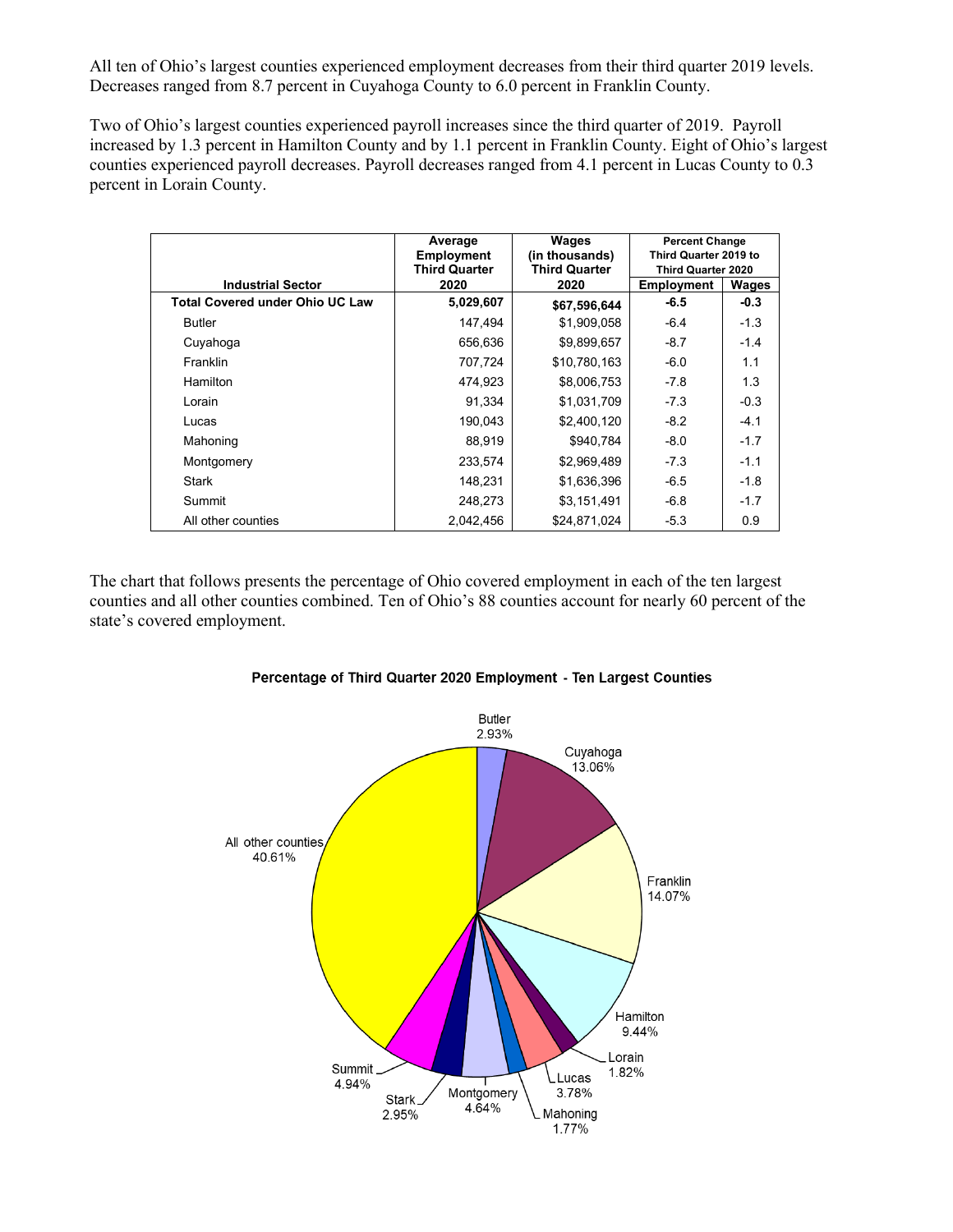All ten of Ohio's largest counties experienced employment decreases from their third quarter 2019 levels. Decreases ranged from 8.7 percent in Cuyahoga County to 6.0 percent in Franklin County.

Two of Ohio's largest counties experienced payroll increases since the third quarter of 2019. Payroll increased by 1.3 percent in Hamilton County and by 1.1 percent in Franklin County. Eight of Ohio's largest counties experienced payroll decreases. Payroll decreases ranged from 4.1 percent in Lucas County to 0.3 percent in Lorain County.

|                                        | Average<br><b>Employment</b> | Wages<br>(in thousands)      | <b>Percent Change</b><br>Third Quarter 2019 to<br><b>Third Quarter 2020</b><br>Wages<br><b>Employment</b> |        |
|----------------------------------------|------------------------------|------------------------------|-----------------------------------------------------------------------------------------------------------|--------|
| <b>Industrial Sector</b>               | <b>Third Quarter</b><br>2020 | <b>Third Quarter</b><br>2020 |                                                                                                           |        |
| <b>Total Covered under Ohio UC Law</b> | 5,029,607                    | \$67,596,644                 | $-6.5$                                                                                                    | $-0.3$ |
| <b>Butler</b>                          | 147,494                      | \$1,909,058                  | $-6.4$                                                                                                    | $-1.3$ |
| Cuyahoga                               | 656,636                      | \$9,899,657                  | $-8.7$                                                                                                    | $-1.4$ |
| Franklin                               | 707,724                      | \$10,780,163                 | $-6.0$                                                                                                    | 1.1    |
| <b>Hamilton</b>                        | 474,923                      | \$8,006,753                  | $-7.8$                                                                                                    | 1.3    |
| Lorain                                 | 91,334                       | \$1,031,709                  | $-7.3$                                                                                                    | $-0.3$ |
| Lucas                                  | 190.043                      | \$2,400,120                  | $-8.2$                                                                                                    | $-4.1$ |
| Mahoning                               | 88,919                       | \$940,784                    | $-8.0$                                                                                                    | $-1.7$ |
| Montgomery                             | 233,574                      | \$2,969,489                  | $-7.3$                                                                                                    | $-1.1$ |
| <b>Stark</b>                           | 148,231                      | \$1,636,396                  | $-6.5$                                                                                                    | $-1.8$ |
| Summit                                 | 248,273                      | \$3,151,491                  | $-6.8$                                                                                                    | $-1.7$ |
| All other counties                     | 2,042,456                    | \$24,871,024                 | $-5.3$                                                                                                    | 0.9    |

The chart that follows presents the percentage of Ohio covered employment in each of the ten largest counties and all other counties combined. Ten of Ohio's 88 counties account for nearly 60 percent of the state's covered employment.



## Percentage of Third Quarter 2020 Employment - Ten Largest Counties